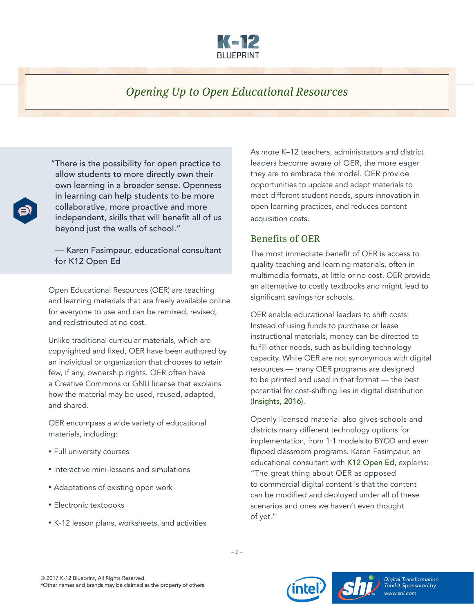

# *Opening Up to Open Educational Resources*

 "There is the possibility for open practice to allow students to more directly own their own learning in a broader sense. Openness in learning can help students to be more collaborative, more proactive and more independent, skills that will benefit all of us beyond just the walls of school."

— Karen Fasimpaur, educational consultant for K12 Open Ed

Open Educational Resources (OER) are teaching and learning materials that are freely available online for everyone to use and can be remixed, revised, and redistributed at no cost.

Unlike traditional curricular materials, which are copyrighted and fixed, OER have been authored by an individual or organization that chooses to retain few, if any, ownership rights. OER often have a Creative Commons or GNU license that explains how the material may be used, reused, adapted, and shared.

OER encompass a wide variety of educational materials, including:

- Full university courses
- Interactive mini-lessons and simulations
- Adaptations of existing open work
- Electronic textbooks
- K-12 lesson plans, worksheets, and activities

As more K–12 teachers, administrators and district leaders become aware of OER, the more eager they are to embrace the model. OER provide opportunities to update and adapt materials to meet different student needs, spurs innovation in open learning practices, and reduces content acquisition costs.

#### Benefits of OER

The most immediate benefit of OER is access to quality teaching and learning materials, often in multimedia formats, at little or no cost. OER provide an alternative to costly textbooks and might lead to significant savings for schools.

OER enable educational leaders to shift costs: Instead of using funds to purchase or lease instructional materials, money can be directed to fulfill other needs, such as building technology capacity. While OER are not synonymous with digital resources — many OER programs are designed to be printed and used in that format — the best potential for cost-shifting lies in digital distribution ([Insights, 2016](https://insights.samsung.com/2016/03/03/open-source-textbooks-and-resources-are-poised-to-transform-k-12-education/)).

Openly licensed material also gives schools and districts many different technology options for implementation, from 1:1 models to BYOD and even flipped classroom programs. Karen Fasimpaur, an educational consultant with [K12 Open Ed](http://www.k12opened.com/), explains: "The great thing about OER as opposed to commercial digital content is that the content can be modified and deployed under all of these scenarios and ones we haven't even thought of yet."









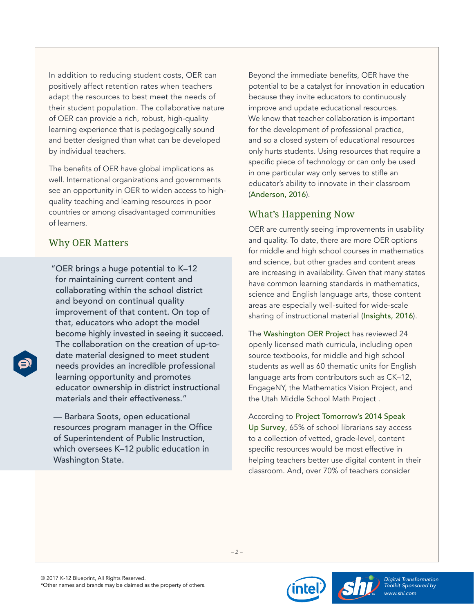In addition to reducing student costs, OER can positively affect retention rates when teachers adapt the resources to best meet the needs of their student population. The collaborative nature of OER can provide a rich, robust, high-quality learning experience that is pedagogically sound and better designed than what can be developed by individual teachers.

The benefits of OER have global implications as well. International organizations and governments see an opportunity in OER to widen access to highquality teaching and learning resources in poor countries or among disadvantaged communities of learners.

### Why OER Matters

 "OER brings a huge potential to K–12 for maintaining current content and collaborating within the school district and beyond on continual quality improvement of that content. On top of that, educators who adopt the model become highly invested in seeing it succeed. The collaboration on the creation of up-todate material designed to meet student needs provides an incredible professional learning opportunity and promotes educator ownership in district instructional materials and their effectiveness."

— Barbara Soots, open educational resources program manager in the Office of Superintendent of Public Instruction, which oversees K–12 public education in Washington State.

Beyond the immediate benefits, OER have the potential to be a catalyst for innovation in education because they invite educators to continuously improve and update educational resources. We know that teacher collaboration is important for the development of professional practice, and so a closed system of educational resources only hurts students. Using resources that require a specific piece of technology or can only be used in one particular way only serves to stifle an educator's ability to innovate in their classroom ([Anderson, 2016](http://blog.web20classroom.org/2016/04/oermatters.html)).

## What's Happening Now

OER are currently seeing improvements in usability and quality. To date, there are more OER options for middle and high school courses in mathematics and science, but other grades and content areas are increasing in availability. Given that many states have common learning standards in mathematics, science and English language arts, those content areas are especially well-suited for wide-scale sharing of instructional material ([Insights, 2016](https://insights.samsung.com/2016/03/03/open-source-textbooks-and-resources-are-poised-to-transform-k-12-education/)).

The [Washington OER Project](http://digitallearning.k12.wa.us/oer/library/) has reviewed 24 openly licensed math curricula, including open source textbooks, for middle and high school students as well as 60 thematic units for English language arts from contributors such as CK–12, EngageNY, the Mathematics Vision Project, and the Utah Middle School Math Project .

According to [Project Tomorrow's 2014 Speak](http://www.tomorrow.org/speakup/speakup_data_findings.html)  [Up Survey](http://www.tomorrow.org/speakup/speakup_data_findings.html), 65% of school librarians say access to a collection of vetted, grade-level, content specific resources would be most effective in helping teachers better use digital content in their classroom. And, over 70% of teachers consider